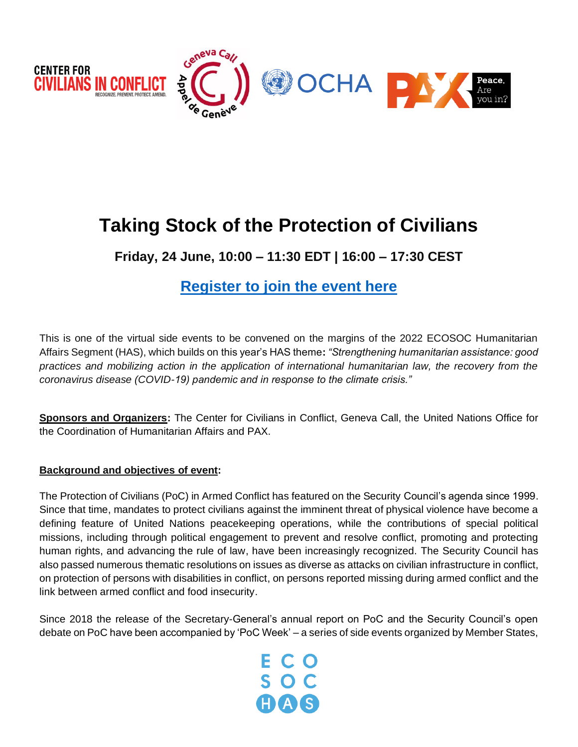

# **Taking Stock of the Protection of Civilians**

**Friday, 24 June, 10:00 – 11:30 EDT | 16:00 – 17:30 CEST**

# **[Register to join the event here](https://teams.microsoft.com/registration/2zWeD09UYE-9zF6kFubccA,_BtX0Ba3uEWYaCx3AhFF_g,G-z_FZpankO0Dd73JHyEWw,ih9RCpFTMEi8hDEcjhBl4A,yaWk78GsN0C24XUUKr7Ncg,uEIlGhEOE0y_GFkpXWjVww?mode=read&tenantId=0f9e35db-544f-4f60-bdcc-5ea416e6dc70)**

This is one of the virtual side events to be convened on the margins of the 2022 ECOSOC Humanitarian Affairs Segment (HAS), which builds on this year's HAS theme**:** *"Strengthening humanitarian assistance: good practices and mobilizing action in the application of international humanitarian law, the recovery from the coronavirus disease (COVID-19) pandemic and in response to the climate crisis."*

**Sponsors and Organizers:** The Center for Civilians in Conflict, Geneva Call, the United Nations Office for the Coordination of Humanitarian Affairs and PAX.

# **Background and objectives of event:**

The Protection of Civilians (PoC) in Armed Conflict has featured on the Security Council's agenda since 1999. Since that time, mandates to protect civilians against the imminent threat of physical violence have become a defining feature of United Nations peacekeeping operations, while the contributions of special political missions, including through political engagement to prevent and resolve conflict, promoting and protecting human rights, and advancing the rule of law, have been increasingly recognized. The Security Council has also passed numerous thematic resolutions on issues as diverse as attacks on civilian infrastructure in conflict, on protection of persons with disabilities in conflict, on persons reported missing during armed conflict and the link between armed conflict and food insecurity.

Since 2018 the release of the Secretary-General's annual report on PoC and the Security Council's open debate on PoC have been accompanied by 'PoC Week' – a series of side events organized by Member States,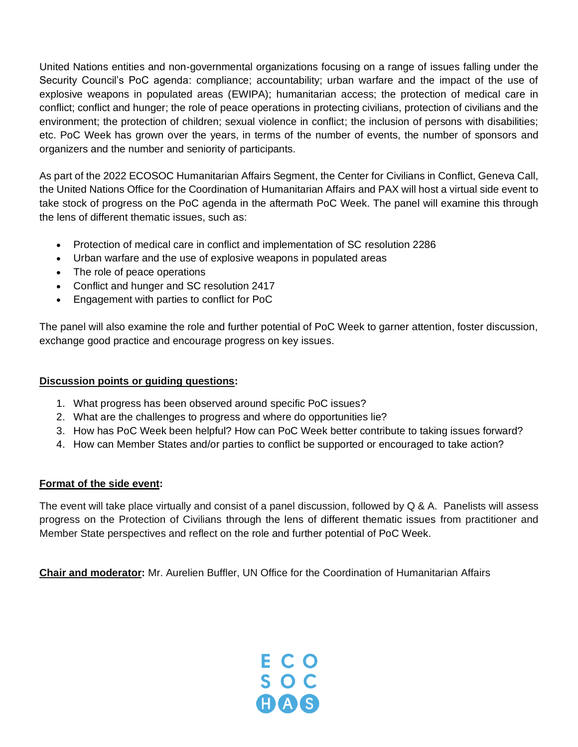United Nations entities and non-governmental organizations focusing on a range of issues falling under the Security Council's PoC agenda: compliance; accountability; urban warfare and the impact of the use of explosive weapons in populated areas (EWIPA); humanitarian access; the protection of medical care in conflict; conflict and hunger; the role of peace operations in protecting civilians, protection of civilians and the environment; the protection of children; sexual violence in conflict; the inclusion of persons with disabilities; etc. PoC Week has grown over the years, in terms of the number of events, the number of sponsors and organizers and the number and seniority of participants.

As part of the 2022 ECOSOC Humanitarian Affairs Segment, the Center for Civilians in Conflict, Geneva Call, the United Nations Office for the Coordination of Humanitarian Affairs and PAX will host a virtual side event to take stock of progress on the PoC agenda in the aftermath PoC Week. The panel will examine this through the lens of different thematic issues, such as:

- Protection of medical care in conflict and implementation of SC resolution 2286
- Urban warfare and the use of explosive weapons in populated areas
- The role of peace operations
- Conflict and hunger and SC resolution 2417
- Engagement with parties to conflict for PoC

The panel will also examine the role and further potential of PoC Week to garner attention, foster discussion, exchange good practice and encourage progress on key issues.

# **Discussion points or guiding questions:**

- 1. What progress has been observed around specific PoC issues?
- 2. What are the challenges to progress and where do opportunities lie?
- 3. How has PoC Week been helpful? How can PoC Week better contribute to taking issues forward?
- 4. How can Member States and/or parties to conflict be supported or encouraged to take action?

# **Format of the side event:**

The event will take place virtually and consist of a panel discussion, followed by Q & A. Panelists will assess progress on the Protection of Civilians through the lens of different thematic issues from practitioner and Member State perspectives and reflect on the role and further potential of PoC Week.

**Chair and moderator:** Mr. Aurelien Buffler, UN Office for the Coordination of Humanitarian Affairs